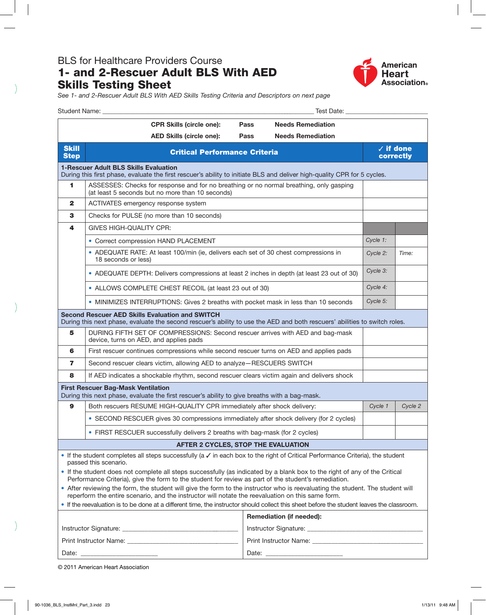## BLS for Healthcare Providers Course 1- and 2-Rescuer Adult BLS With AED Skills Testing Sheet



*See 1- and 2-Rescuer Adult BLS With AED Skills Testing Criteria and Descriptors on next page*

| Student Name: The Control of the Student Name:                                                                                                                                                                                      |                                                                                                                                             |                                            |      | Test Date: _______________                                                          |                                |       |  |
|-------------------------------------------------------------------------------------------------------------------------------------------------------------------------------------------------------------------------------------|---------------------------------------------------------------------------------------------------------------------------------------------|--------------------------------------------|------|-------------------------------------------------------------------------------------|--------------------------------|-------|--|
|                                                                                                                                                                                                                                     |                                                                                                                                             | <b>CPR Skills (circle one):</b>            | Pass | <b>Needs Remediation</b>                                                            |                                |       |  |
|                                                                                                                                                                                                                                     |                                                                                                                                             | <b>AED Skills (circle one):</b>            | Pass | <b>Needs Remediation</b>                                                            |                                |       |  |
| <b>Skill</b><br><b>Step</b>                                                                                                                                                                                                         | <b>Critical Performance Criteria</b>                                                                                                        |                                            |      |                                                                                     | $\sqrt{}$ if done<br>correctly |       |  |
| <b>1-Rescuer Adult BLS Skills Evaluation</b><br>During this first phase, evaluate the first rescuer's ability to initiate BLS and deliver high-quality CPR for 5 cycles.                                                            |                                                                                                                                             |                                            |      |                                                                                     |                                |       |  |
| 1                                                                                                                                                                                                                                   | ASSESSES: Checks for response and for no breathing or no normal breathing, only gasping<br>(at least 5 seconds but no more than 10 seconds) |                                            |      |                                                                                     |                                |       |  |
| $\mathbf{2}$                                                                                                                                                                                                                        | ACTIVATES emergency response system                                                                                                         |                                            |      |                                                                                     |                                |       |  |
| 3                                                                                                                                                                                                                                   |                                                                                                                                             | Checks for PULSE (no more than 10 seconds) |      |                                                                                     |                                |       |  |
| 4                                                                                                                                                                                                                                   | <b>GIVES HIGH-QUALITY CPR:</b>                                                                                                              |                                            |      |                                                                                     |                                |       |  |
|                                                                                                                                                                                                                                     | • Correct compression HAND PLACEMENT                                                                                                        |                                            |      |                                                                                     | Cycle 1:                       |       |  |
|                                                                                                                                                                                                                                     | • ADEQUATE RATE: At least 100/min (ie, delivers each set of 30 chest compressions in<br>18 seconds or less)                                 |                                            |      |                                                                                     | Cycle 2:                       | Time: |  |
|                                                                                                                                                                                                                                     | • ADEQUATE DEPTH: Delivers compressions at least 2 inches in depth (at least 23 out of 30)                                                  |                                            |      |                                                                                     | Cycle 3:                       |       |  |
|                                                                                                                                                                                                                                     | • ALLOWS COMPLETE CHEST RECOIL (at least 23 out of 30)                                                                                      |                                            |      |                                                                                     | Cycle 4:                       |       |  |
|                                                                                                                                                                                                                                     |                                                                                                                                             |                                            |      | • MINIMIZES INTERRUPTIONS: Gives 2 breaths with pocket mask in less than 10 seconds | Cycle 5:                       |       |  |
| <b>Second Rescuer AED Skills Evaluation and SWITCH</b><br>During this next phase, evaluate the second rescuer's ability to use the AED and both rescuers' abilities to switch roles.                                                |                                                                                                                                             |                                            |      |                                                                                     |                                |       |  |
| 5                                                                                                                                                                                                                                   | DURING FIFTH SET OF COMPRESSIONS: Second rescuer arrives with AED and bag-mask<br>device, turns on AED, and applies pads                    |                                            |      |                                                                                     |                                |       |  |
| 6                                                                                                                                                                                                                                   | First rescuer continues compressions while second rescuer turns on AED and applies pads                                                     |                                            |      |                                                                                     |                                |       |  |
| 7                                                                                                                                                                                                                                   | Second rescuer clears victim, allowing AED to analyze-RESCUERS SWITCH                                                                       |                                            |      |                                                                                     |                                |       |  |
| 8                                                                                                                                                                                                                                   | If AED indicates a shockable rhythm, second rescuer clears victim again and delivers shock                                                  |                                            |      |                                                                                     |                                |       |  |
| <b>First Rescuer Bag-Mask Ventilation</b><br>During this next phase, evaluate the first rescuer's ability to give breaths with a bag-mask.                                                                                          |                                                                                                                                             |                                            |      |                                                                                     |                                |       |  |
| 9                                                                                                                                                                                                                                   | Both rescuers RESUME HIGH-QUALITY CPR immediately after shock delivery:                                                                     |                                            |      | Cycle 1                                                                             | Cycle 2                        |       |  |
|                                                                                                                                                                                                                                     | • SECOND RESCUER gives 30 compressions immediately after shock delivery (for 2 cycles)                                                      |                                            |      |                                                                                     |                                |       |  |
|                                                                                                                                                                                                                                     | • FIRST RESCUER successfully delivers 2 breaths with bag-mask (for 2 cycles)                                                                |                                            |      |                                                                                     |                                |       |  |
| AFTER 2 CYCLES, STOP THE EVALUATION                                                                                                                                                                                                 |                                                                                                                                             |                                            |      |                                                                                     |                                |       |  |
| If the student completes all steps successfully (a $\checkmark$ in each box to the right of Critical Performance Criteria), the student<br>passed this scenario.                                                                    |                                                                                                                                             |                                            |      |                                                                                     |                                |       |  |
| . If the student does not complete all steps successfully (as indicated by a blank box to the right of any of the Critical<br>Performance Criteria), give the form to the student for review as part of the student's remediation.  |                                                                                                                                             |                                            |      |                                                                                     |                                |       |  |
| • After reviewing the form, the student will give the form to the instructor who is reevaluating the student. The student will<br>reperform the entire scenario, and the instructor will notate the reevaluation on this same form. |                                                                                                                                             |                                            |      |                                                                                     |                                |       |  |
| . If the reevaluation is to be done at a different time, the instructor should collect this sheet before the student leaves the classroom.                                                                                          |                                                                                                                                             |                                            |      |                                                                                     |                                |       |  |
|                                                                                                                                                                                                                                     |                                                                                                                                             |                                            |      | <b>Remediation (if needed):</b>                                                     |                                |       |  |
|                                                                                                                                                                                                                                     |                                                                                                                                             |                                            |      |                                                                                     |                                |       |  |
|                                                                                                                                                                                                                                     |                                                                                                                                             |                                            |      |                                                                                     |                                |       |  |
| Date: the contract of the contract of the contract of the contract of the contract of the contract of the contract of the contract of the contract of the contract of the contract of the contract of the contract of the cont      |                                                                                                                                             |                                            |      |                                                                                     |                                |       |  |